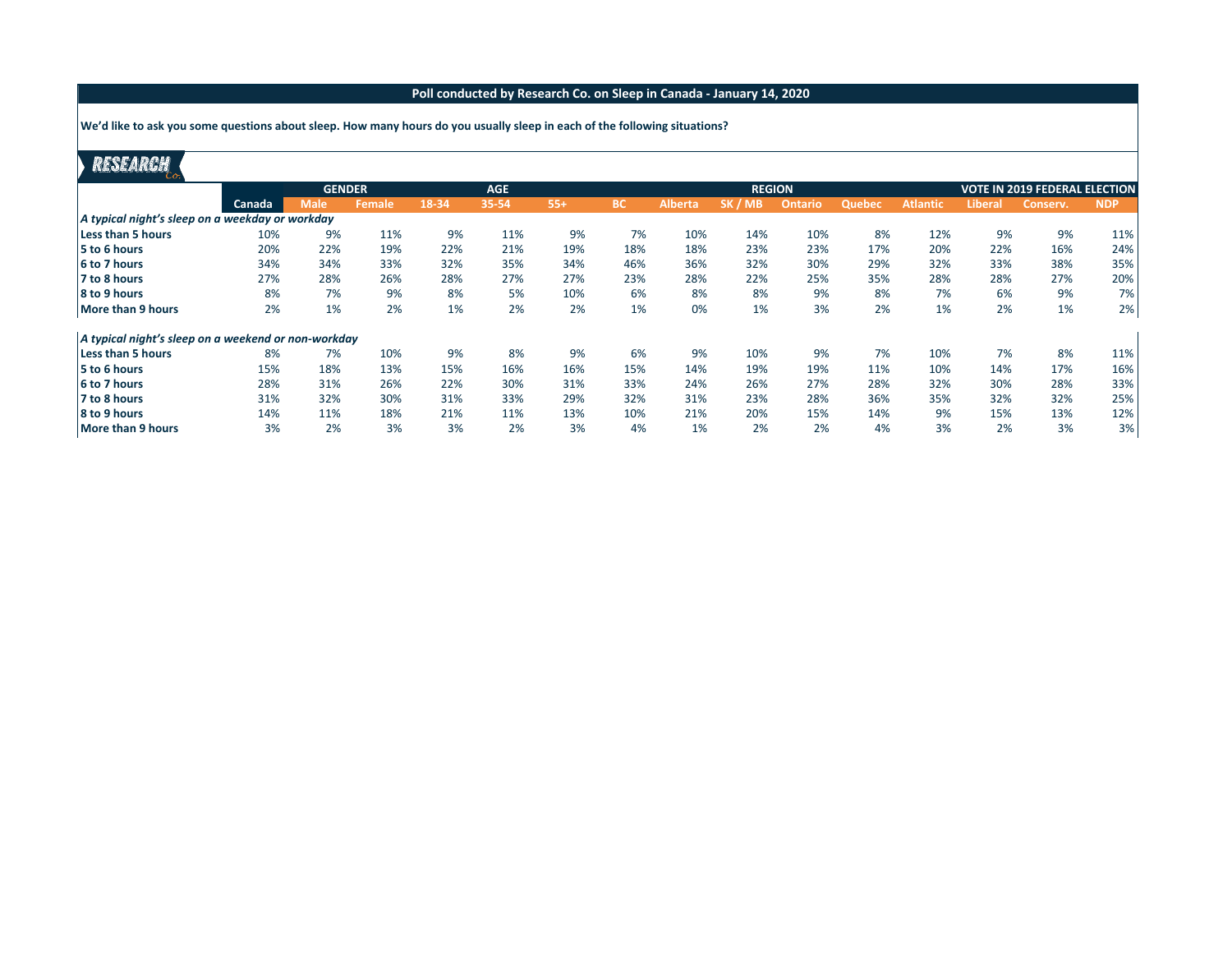**We'd like to ask you some questions about sleep. How many hours do you usually sleep in each of the following situations?**

### **RESEARCH**

| $\cdot$                                             |        |               |        |       |            |       |     |                |               |                |               |                 |                                      |            |            |
|-----------------------------------------------------|--------|---------------|--------|-------|------------|-------|-----|----------------|---------------|----------------|---------------|-----------------|--------------------------------------|------------|------------|
|                                                     |        | <b>GENDER</b> |        |       | <b>AGE</b> |       |     |                | <b>REGION</b> |                |               |                 | <b>VOTE IN 2019 FEDERAL ELECTION</b> |            |            |
|                                                     | Canada | <b>Male</b>   | Female | 18-34 | 35-54      | $55+$ | BC. | <b>Alberta</b> | SK / MB       | <b>Ontario</b> | <b>Quebec</b> | <b>Atlantic</b> | Liberal                              | 'Conserv., | <b>NDP</b> |
| A typical night's sleep on a weekday or workday     |        |               |        |       |            |       |     |                |               |                |               |                 |                                      |            |            |
| Less than 5 hours                                   | 10%    | 9%            | 11%    | 9%    | 11%        | 9%    | 7%  | 10%            | 14%           | 10%            | 8%            | 12%             | 9%                                   | 9%         | 11%        |
| 5 to 6 hours                                        | 20%    | 22%           | 19%    | 22%   | 21%        | 19%   | 18% | 18%            | 23%           | 23%            | 17%           | 20%             | 22%                                  | 16%        | 24%        |
| 6 to 7 hours                                        | 34%    | 34%           | 33%    | 32%   | 35%        | 34%   | 46% | 36%            | 32%           | 30%            | 29%           | 32%             | 33%                                  | 38%        | 35%        |
| 7 to 8 hours                                        | 27%    | 28%           | 26%    | 28%   | 27%        | 27%   | 23% | 28%            | 22%           | 25%            | 35%           | 28%             | 28%                                  | 27%        | 20%        |
| 8 to 9 hours                                        | 8%     | 7%            | 9%     | 8%    | 5%         | 10%   | 6%  | 8%             | 8%            | 9%             | 8%            | 7%              | 6%                                   | 9%         | 7%         |
| More than 9 hours                                   | 2%     | 1%            | 2%     | 1%    | 2%         | 2%    | 1%  | 0%             | 1%            | 3%             | 2%            | 1%              | 2%                                   | 1%         | 2%         |
| A typical night's sleep on a weekend or non-workday |        |               |        |       |            |       |     |                |               |                |               |                 |                                      |            |            |
| <b>Less than 5 hours</b>                            | 8%     | 7%            | 10%    | 9%    | 8%         | 9%    | 6%  | 9%             | 10%           | 9%             | 7%            | 10%             | 7%                                   | 8%         | 11%        |
| 5 to 6 hours                                        | 15%    | 18%           | 13%    | 15%   | 16%        | 16%   | 15% | 14%            | 19%           | 19%            | 11%           | 10%             | 14%                                  | 17%        | 16%        |
| 6 to 7 hours                                        | 28%    | 31%           | 26%    | 22%   | 30%        | 31%   | 33% | 24%            | 26%           | 27%            | 28%           | 32%             | 30%                                  | 28%        | 33%        |
| 7 to 8 hours                                        | 31%    | 32%           | 30%    | 31%   | 33%        | 29%   | 32% | 31%            | 23%           | 28%            | 36%           | 35%             | 32%                                  | 32%        | 25%        |
| 8 to 9 hours                                        | 14%    | 11%           | 18%    | 21%   | 11%        | 13%   | 10% | 21%            | 20%           | 15%            | 14%           | 9%              | 15%                                  | 13%        | 12%        |
| More than 9 hours                                   | 3%     | 2%            | 3%     | 3%    | 2%         | 3%    | 4%  | 1%             | 2%            | 2%             | 4%            | 3%              | 2%                                   | 3%         | 3%         |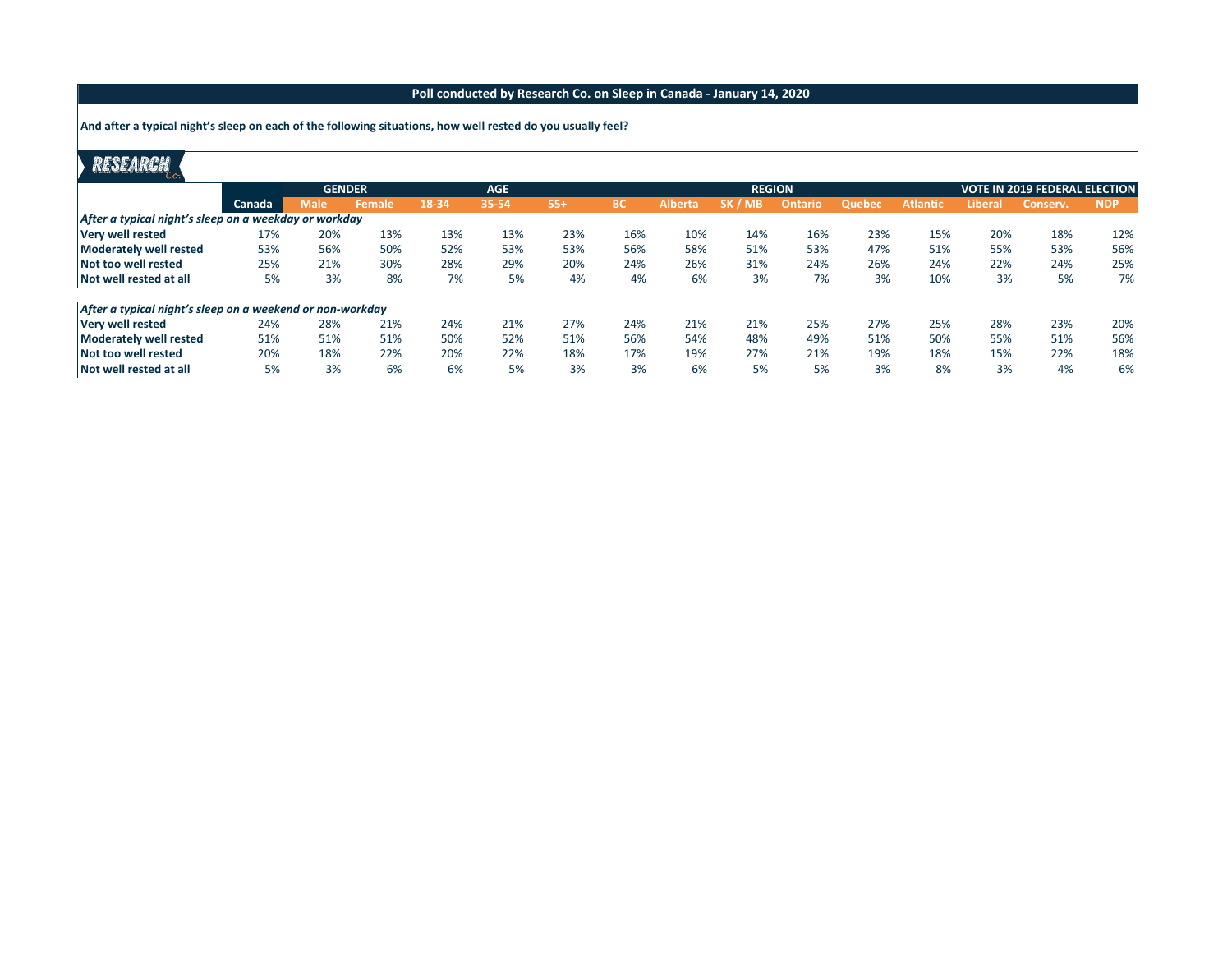**And after a typical night's sleep on each of the following situations, how well rested do you usually feel?**

| <b>RESEARCH</b>                                           |        |             |               |            |       |       |           |                |               |                |                                      |                 |         |          |            |
|-----------------------------------------------------------|--------|-------------|---------------|------------|-------|-------|-----------|----------------|---------------|----------------|--------------------------------------|-----------------|---------|----------|------------|
|                                                           |        |             | <b>GENDER</b> | <b>AGE</b> |       |       |           |                | <b>REGION</b> |                | <b>VOTE IN 2019 FEDERAL ELECTION</b> |                 |         |          |            |
|                                                           | Canada | <b>Male</b> | <b>Female</b> | 18-34      | 35-54 | $55+$ | <b>BC</b> | <b>Alberta</b> | SK / MB       | <b>Ontario</b> | Quebec                               | <b>Atlantic</b> | Liberal | Conserv. | <b>NDP</b> |
| After a typical night's sleep on a weekday or workday     |        |             |               |            |       |       |           |                |               |                |                                      |                 |         |          |            |
| Very well rested                                          | 17%    | 20%         | 13%           | 13%        | 13%   | 23%   | 16%       | 10%            | 14%           | 16%            | 23%                                  | 15%             | 20%     | 18%      | 12%        |
| Moderately well rested                                    | 53%    | 56%         | 50%           | 52%        | 53%   | 53%   | 56%       | 58%            | 51%           | 53%            | 47%                                  | 51%             | 55%     | 53%      | 56%        |
| Not too well rested                                       | 25%    | 21%         | 30%           | 28%        | 29%   | 20%   | 24%       | 26%            | 31%           | 24%            | 26%                                  | 24%             | 22%     | 24%      | 25%        |
| Not well rested at all                                    | 5%     | 3%          | 8%            | 7%         | 5%    | 4%    | 4%        | 6%             | 3%            | 7%             | 3%                                   | 10%             | 3%      | 5%       | 7%         |
| After a typical night's sleep on a weekend or non-workday |        |             |               |            |       |       |           |                |               |                |                                      |                 |         |          |            |
| Very well rested                                          | 24%    | 28%         | 21%           | 24%        | 21%   | 27%   | 24%       | 21%            | 21%           | 25%            | 27%                                  | 25%             | 28%     | 23%      | 20%        |
| Moderately well rested                                    | 51%    | 51%         | 51%           | 50%        | 52%   | 51%   | 56%       | 54%            | 48%           | 49%            | 51%                                  | 50%             | 55%     | 51%      | 56%        |
| Not too well rested                                       | 20%    | 18%         | 22%           | 20%        | 22%   | 18%   | 17%       | 19%            | 27%           | 21%            | 19%                                  | 18%             | 15%     | 22%      | 18%        |
| Not well rested at all                                    | 5%     | 3%          | 6%            | 6%         | 5%    | 3%    | 3%        | 6%             | 5%            | 5%             | 3%                                   | 8%              | 3%      | 4%       | 6%         |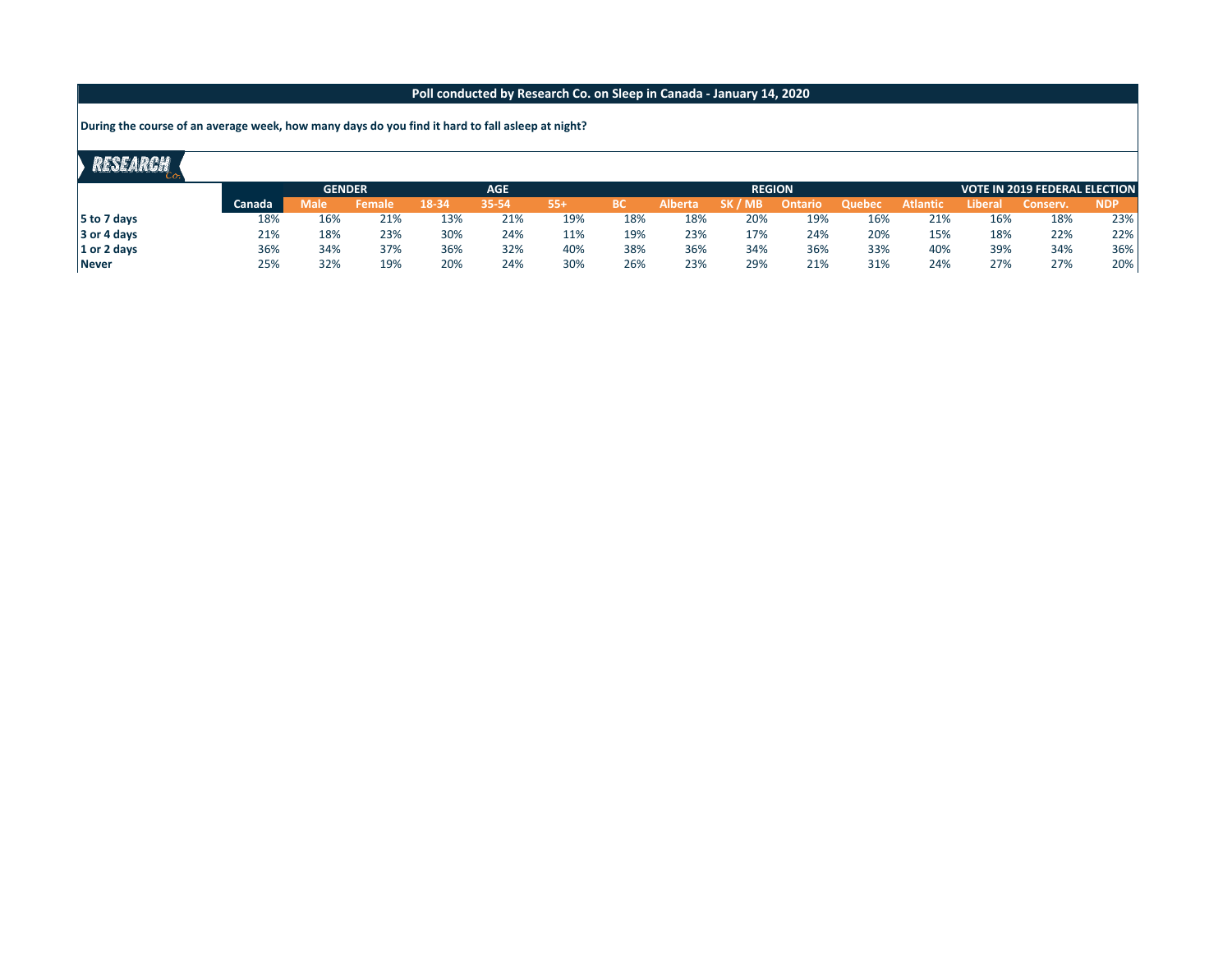**During the course of an average week, how many days do you find it hard to fall asleep at night?**

# RESEARCH

| ---          |               | <b>GENDER</b> |        | <b>AGE</b> |       |       |     |                | <b>REGION</b> |                | <b>VOTE IN 2019 FEDERAL ELECTION</b> |                 |         |                 |            |
|--------------|---------------|---------------|--------|------------|-------|-------|-----|----------------|---------------|----------------|--------------------------------------|-----------------|---------|-----------------|------------|
|              | <b>Canada</b> | Male          | Female | 18-34      | 35-54 | $55+$ | ВC  | <b>Alberta</b> | SK / MB       | <b>Ontario</b> | Quebec                               | <b>Atlantic</b> | Liberal | <b>Conserv.</b> | <b>NDP</b> |
| 5 to 7 days  | 18%           | 16%           | 21%    | 13%        | 21%   | 19%   | 18% | 18%            | 20%           | 19%            | 16%                                  | 21%             | 16%     | 18%             | 23%        |
| 3 or 4 days  | 21%           | 18%           | 23%    | 30%        | 24%   | 11%   | 19% | 23%            | 17%           | 24%            | 20%                                  | 15%             | 18%     | 22%             | 22%        |
| 1 or 2 days  | 36%           | 34%           | 37%    | 36%        | 32%   | 40%   | 38% | 36%            | 34%           | 36%            | 33%                                  | 40%             | 39%     | 34%             | 36%        |
| <b>Never</b> | 25%           | 32%           | 19%    | 20%        | 24%   | 30%   | 26% | 23%            | 29%           | 21%            | 31%                                  | 24%             | 27%     | 27%             | 20%        |